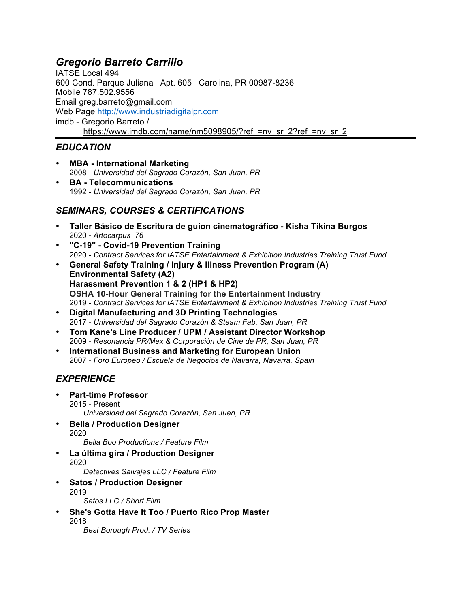# *Gregorio Barreto Carrillo*

IATSE Local 494 600 Cond. Parque Juliana Apt. 605 Carolina, PR 00987-8236 Mobile 787.502.9556 Email greg.barreto@gmail.com Web Page http://www.industriadigitalpr.com imdb - Gregorio Barreto / https://www.imdb.com/name/nm5098905/?ref =nv\_sr\_2?ref\_=nv\_sr\_2

### *EDUCATION*

- **MBA - International Marketing** 2008 - *Universidad del Sagrado Corazón, San Juan, PR*
- **BA - Telecommunications** 1992 - *Universidad del Sagrado Corazón, San Juan, PR*

## *SEMINARS, COURSES & CERTIFICATIONS*

- **Taller Básico de Escritura de guion cinematográfico - Kisha Tikina Burgos** 2020 - *Artocarpus 76*
- **"C-19" - Covid-19 Prevention Training**  2020 - *Contract Services for IATSE Entertainment & Exhibition Industries Training Trust Fund*
- **General Safety Training / Injury & Illness Prevention Program (A) Environmental Safety (A2) Harassment Prevention 1 & 2 (HP1 & HP2) OSHA 10-Hour General Training for the Entertainment Industry** 2019 - *Contract Services for IATSE Entertainment & Exhibition Industries Training Trust Fund*
- **Digital Manufacturing and 3D Printing Technologies** 2017 - *Universidad del Sagrado Corazón & Steam Fab, San Juan, PR*
- **Tom Kane's Line Producer / UPM / Assistant Director Workshop** 2009 - *Resonancia PR/Mex & Corporación de Cine de PR, San Juan, PR*
- **International Business and Marketing for European Union** 2007 - *Foro Europeo / Escuela de Negocios de Navarra, Navarra, Spain*

# *EXPERIENCE*

- **Part-time Professor** 2015 - Present *Universidad del Sagrado Corazón, San Juan, PR*
- **Bella / Production Designer** 2020
	- *Bella Boo Productions / Feature Film*
- **La última gira / Production Designer** 2020

*Detectives Salvajes LLC / Feature Film*

- **Satos / Production Designer** 2019 *Satos LLC / Short Film*
- **She's Gotta Have It Too / Puerto Rico Prop Master** 2018

*Best Borough Prod. / TV Series*